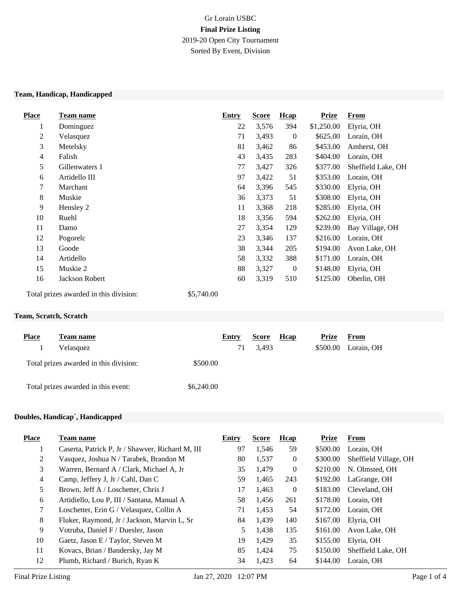# Gr Lorain USBC **Final Prize Listing** 2019-20 Open City Tournament Sorted By Event, Division

#### **Team, Handicap, Handicapped**

| <b>Place</b> | <b>Team name</b>                                  | <b>Entry</b> | <b>Score</b> | <b>H</b> cap | <b>Prize</b> | <b>From</b>        |
|--------------|---------------------------------------------------|--------------|--------------|--------------|--------------|--------------------|
| 1            | Dominguez                                         | 22           | 3,576        | 394          | \$1,250.00   | Elyria, OH         |
| 2            | Velasquez                                         | 71           | 3,493        | $\mathbf{0}$ | \$625.00     | Lorain, OH         |
| 3            | Metelsky                                          | 81           | 3,462        | 86           | \$453.00     | Amherst, OH        |
| 4            | Falish                                            | 43           | 3,435        | 283          | \$404.00     | Lorain, OH         |
| 5            | Gillenwaters 1                                    | 77           | 3,427        | 326          | \$377.00     | Sheffield Lake, OH |
| 6            | Artidello III                                     | 97           | 3,422        | 51           | \$353.00     | Lorain, OH         |
| $\tau$       | Marchant                                          | 64           | 3,396        | 545          | \$330.00     | Elyria, OH         |
| 8            | Muskie                                            | 36           | 3,373        | 51           | \$308.00     | Elyria, OH         |
| 9            | Hensley 2                                         | 11           | 3,368        | 218          | \$285.00     | Elyria, OH         |
| 10           | Ruehl                                             | 18           | 3,356        | 594          | \$262.00     | Elyria, OH         |
| 11           | Damo                                              | 27           | 3,354        | 129          | \$239.00     | Bay Village, OH    |
| 12           | Pogorelc                                          | 23           | 3,346        | 137          | \$216.00     | Lorain, OH         |
| 13           | Goode                                             | 38           | 3,344        | 205          | \$194.00     | Avon Lake, OH      |
| 14           | Artidello                                         | 58           | 3,332        | 388          | \$171.00     | Lorain, OH         |
| 15           | Muskie 2                                          | 88           | 3,327        | $\mathbf{0}$ | \$148.00     | Elyria, OH         |
| 16           | Jackson Robert                                    | 60           | 3,319        | 510          | \$125.00     | Oberlin, OH        |
|              | \$57400<br>Total prizes awarded in this division. |              |              |              |              |                    |

Total prizes awarded in this division: \$5,740.00

#### **Team, Scratch, Scratch**

| <b>Place</b> | Team name                              |            | Entry | <b>Score</b> | <b>H</b> cap | Prize    | From       |
|--------------|----------------------------------------|------------|-------|--------------|--------------|----------|------------|
|              | Velasquez                              |            | 71    | 3,493        |              | \$500.00 | Lorain, OH |
|              | Total prizes awarded in this division: | \$500.00   |       |              |              |          |            |
|              | Total prizes awarded in this event:    | \$6,240.00 |       |              |              |          |            |

### **Doubles, Handicap`, Handicapped**

| <b>Place</b>   | Team name                                        | Entry | <b>Score</b> | Hcap           | <b>Prize</b> | From                  |
|----------------|--------------------------------------------------|-------|--------------|----------------|--------------|-----------------------|
|                | Caserta, Patrick P, Jr / Shawver, Richard M, III | 97    | 1,546        | 59             | \$500.00     | Lorain, OH            |
| 2              | Vasquez, Joshua N / Tarabek, Brandon M           | 80    | 1,537        | $\overline{0}$ | \$300.00     | Sheffield Village, OH |
| 3              | Warren, Bernard A / Clark, Michael A, Jr         | 35    | 1,479        | $\overline{0}$ | \$210.00     | N. Olmsted, OH        |
| $\overline{4}$ | Camp, Jeffery J, Jr / Cahl, Dan C                | 59    | 1,465        | 243            | \$192.00     | LaGrange, OH          |
| 5              | Brown, Jeff A / Loschetter, Chris J              | 17    | 1,463        | $\overline{0}$ | \$183.00     | Cleveland, OH         |
| 6              | Artidiello, Lou P, III / Santana, Manual A       | 58    | 1.456        | 261            | \$178.00     | Lorain, OH            |
| 7              | Loschetter, Erin G / Velasquez, Collin A         | 71    | 1,453        | 54             | \$172.00     | Lorain, OH            |
| 8              | Fluker, Raymond, Jr / Jackson, Marvin L, Sr      | 84    | 1,439        | 140            | \$167.00     | Elvria, OH            |
| 9              | Votruba, Daniel F / Duesler, Jason               | 5     | 1,438        | 135            | \$161.00     | Avon Lake, OH         |
| 10             | Gaetz, Jason E / Taylor, Steven M                | 19    | 1,429        | 35             | \$155.00     | Elyria, OH            |
| 11             | Kovacs, Brian / Bandersky, Jay M                 | 85    | 1,424        | 75             | \$150.00     | Sheffield Lake, OH    |
| 12             | Plumb, Richard / Burich, Ryan K                  | 34    | 1.423        | 64             | \$144.00     | Lorain, OH            |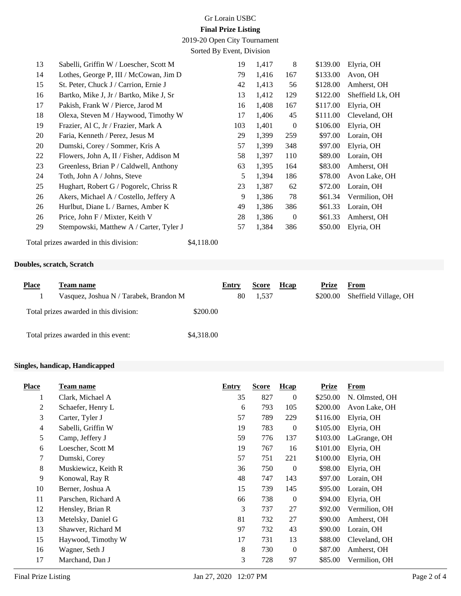# Gr Lorain USBC **Final Prize Listing**

2019-20 Open City Tournament

Sorted By Event, Division

| 13 | Sabelli, Griffin W / Loescher, Scott M  | 19  | 1,417 | 8              | \$139.00 | Elyria, OH       |
|----|-----------------------------------------|-----|-------|----------------|----------|------------------|
| 14 | Lothes, George P, III / McCowan, Jim D  | 79  | 1,416 | 167            | \$133.00 | Avon, OH         |
| 15 | St. Peter, Chuck J / Carrion, Ernie J   | 42  | 1,413 | 56             | \$128.00 | Amherst, OH      |
| 16 | Bartko, Mike J, Jr / Bartko, Mike J, Sr | 13  | 1,412 | 129            | \$122.00 | Sheffield Lk, OH |
| 17 | Pakish, Frank W / Pierce, Jarod M       | 16  | 1,408 | 167            | \$117.00 | Elyria, OH       |
| 18 | Olexa, Steven M / Haywood, Timothy W    | 17  | 1,406 | 45             | \$111.00 | Cleveland, OH    |
| 19 | Frazier, Al C, Jr / Frazier, Mark A     | 103 | 1,401 | $\overline{0}$ | \$106.00 | Elyria, OH       |
| 20 | Faria, Kenneth / Perez, Jesus M         | 29  | 1,399 | 259            | \$97.00  | Lorain, OH       |
| 20 | Dumski, Corey / Sommer, Kris A          | 57  | 1,399 | 348            | \$97.00  | Elyria, OH       |
| 22 | Flowers, John A, II / Fisher, Addison M | 58  | 1,397 | 110            | \$89.00  | Lorain, OH       |
| 23 | Greenless, Brian P / Caldwell, Anthony  | 63  | 1,395 | 164            | \$83.00  | Amherst, OH      |
| 24 | Toth, John A / Johns, Steve             | 5   | 1,394 | 186            | \$78.00  | Avon Lake, OH    |
| 25 | Hughart, Robert G / Pogorelc, Chriss R  | 23  | 1,387 | 62             | \$72.00  | Lorain, OH       |
| 26 | Akers, Michael A / Costello, Jeffery A  | 9   | 1,386 | 78             | \$61.34  | Vermilion, OH    |
| 26 | Hurlbut, Diane L / Barnes, Amber K      | 49  | 1,386 | 386            | \$61.33  | Lorain, OH       |
| 26 | Price, John F / Mixter, Keith V         | 28  | 1,386 | $\theta$       | \$61.33  | Amherst, OH      |
| 29 | Stempowski, Matthew A / Carter, Tyler J | 57  | 1,384 | 386            | \$50.00  | Elyria, OH       |
|    |                                         |     |       |                |          |                  |

## **Doubles, scratch, Scratch**

Total prizes awarded in this division: \$4,118.00

| <b>Place</b> | Team name                              |            | Entry | <b>Score</b> | Hcap | Prize    | From                  |
|--------------|----------------------------------------|------------|-------|--------------|------|----------|-----------------------|
|              | Vasquez, Joshua N / Tarabek, Brandon M |            | 80    | 1,537        |      | \$200.00 | Sheffield Village, OH |
|              | Total prizes awarded in this division: | \$200.00   |       |              |      |          |                       |
|              | Total prizes awarded in this event:    | \$4,318.00 |       |              |      |          |                       |

## **Singles, handicap, Handicapped**

| <b>Place</b>   | <b>Team name</b>    | <b>Entry</b> | <b>Score</b> | Hcap             | <b>Prize</b> | <b>From</b>    |
|----------------|---------------------|--------------|--------------|------------------|--------------|----------------|
| 1              | Clark, Michael A    | 35           | 827          | $\boldsymbol{0}$ | \$250.00     | N. Olmsted, OH |
| 2              | Schaefer, Henry L   | 6            | 793          | 105              | \$200.00     | Avon Lake, OH  |
| 3              | Carter, Tyler J     | 57           | 789          | 229              | \$116.00     | Elyria, OH     |
| $\overline{4}$ | Sabelli, Griffin W  | 19           | 783          | $\boldsymbol{0}$ | \$105.00     | Elyria, OH     |
| 5              | Camp, Jeffery J     | 59           | 776          | 137              | \$103.00     | LaGrange, OH   |
| 6              | Loescher, Scott M   | 19           | 767          | 16               | \$101.00     | Elyria, OH     |
| $\tau$         | Dumski, Corey       | 57           | 751          | 221              | \$100.00     | Elyria, OH     |
| 8              | Muskiewicz, Keith R | 36           | 750          | $\boldsymbol{0}$ | \$98.00      | Elyria, OH     |
| 9              | Konowal, Ray R      | 48           | 747          | 143              | \$97.00      | Lorain, OH     |
| 10             | Berner, Joshua A    | 15           | 739          | 145              | \$95.00      | Lorain, OH     |
| 11             | Parschen, Richard A | 66           | 738          | $\boldsymbol{0}$ | \$94.00      | Elyria, OH     |
| 12             | Hensley, Brian R    | 3            | 737          | 27               | \$92.00      | Vermilion, OH  |
| 13             | Metelsky, Daniel G  | 81           | 732          | 27               | \$90.00      | Amherst, OH    |
| 13             | Shawver, Richard M  | 97           | 732          | 43               | \$90.00      | Lorain, OH     |
| 15             | Haywood, Timothy W  | 17           | 731          | 13               | \$88.00      | Cleveland, OH  |
| 16             | Wagner, Seth J      | 8            | 730          | $\boldsymbol{0}$ | \$87.00      | Amherst, OH    |
| 17             | Marchand, Dan J     | 3            | 728          | 97               | \$85.00      | Vermilion, OH  |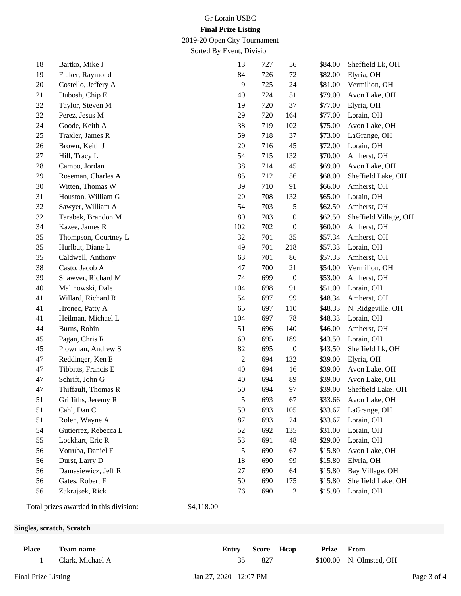# Gr Lorain USBC **Final Prize Listing**

2019-20 Open City Tournament

Sorted By Event, Division

| 18     | Bartko, Mike J                         | 13               | 727 | 56               | \$84.00 | Sheffield Lk, OH      |
|--------|----------------------------------------|------------------|-----|------------------|---------|-----------------------|
| 19     | Fluker, Raymond                        | 84               | 726 | 72               | \$82.00 | Elyria, OH            |
| 20     | Costello, Jeffery A                    | 9                | 725 | 24               | \$81.00 | Vermilion, OH         |
| 21     | Dubosh, Chip E                         | 40               | 724 | 51               | \$79.00 | Avon Lake, OH         |
| $22\,$ | Taylor, Steven M                       | 19               | 720 | 37               | \$77.00 | Elyria, OH            |
| $22\,$ | Perez, Jesus M                         | 29               | 720 | 164              | \$77.00 | Lorain, OH            |
| 24     | Goode, Keith A                         | 38               | 719 | 102              | \$75.00 | Avon Lake, OH         |
| 25     | Traxler, James R                       | 59               | 718 | 37               | \$73.00 | LaGrange, OH          |
| 26     | Brown, Keith J                         | 20               | 716 | 45               | \$72.00 | Lorain, OH            |
| 27     | Hill, Tracy L                          | 54               | 715 | 132              | \$70.00 | Amherst, OH           |
| 28     | Campo, Jordan                          | 38               | 714 | 45               | \$69.00 | Avon Lake, OH         |
| 29     | Roseman, Charles A                     | 85               | 712 | 56               | \$68.00 | Sheffield Lake, OH    |
| 30     | Witten, Thomas W                       | 39               | 710 | 91               | \$66.00 | Amherst, OH           |
| 31     | Houston, William G                     | $20\,$           | 708 | 132              | \$65.00 | Lorain, OH            |
| 32     | Sawyer, William A                      | 54               | 703 | 5                | \$62.50 | Amherst, OH           |
| 32     | Tarabek, Brandon M                     | 80               | 703 | $\boldsymbol{0}$ | \$62.50 | Sheffield Village, OH |
| 34     | Kazee, James R                         | 102              | 702 | $\boldsymbol{0}$ | \$60.00 | Amherst, OH           |
| 35     | Thompson, Courtney L                   | 32               | 701 | 35               | \$57.34 | Amherst, OH           |
| 35     | Hurlbut, Diane L                       | 49               | 701 | 218              | \$57.33 | Lorain, OH            |
| 35     | Caldwell, Anthony                      | 63               | 701 | 86               | \$57.33 | Amherst, OH           |
| 38     | Casto, Jacob A                         | 47               | 700 | 21               | \$54.00 | Vermilion, OH         |
| 39     | Shawver, Richard M                     | 74               | 699 | $\boldsymbol{0}$ | \$53.00 | Amherst, OH           |
| 40     | Malinowski, Dale                       | 104              | 698 | 91               | \$51.00 | Lorain, OH            |
| 41     | Willard, Richard R                     | 54               | 697 | 99               | \$48.34 | Amherst, OH           |
| 41     | Hronec, Patty A                        | 65               | 697 | 110              | \$48.33 | N. Ridgeville, OH     |
| 41     | Heilman, Michael L                     | 104              | 697 | 78               | \$48.33 | Lorain, OH            |
| 44     | Burns, Robin                           | 51               | 696 | 140              | \$46.00 | Amherst, OH           |
| 45     | Pagan, Chris R                         | 69               | 695 | 189              | \$43.50 | Lorain, OH            |
| 45     | Plowman, Andrew S                      | 82               | 695 | $\boldsymbol{0}$ | \$43.50 | Sheffield Lk, OH      |
| 47     | Reddinger, Ken E                       | $\boldsymbol{2}$ | 694 | 132              | \$39.00 | Elyria, OH            |
| 47     | Tibbitts, Francis E                    | 40               | 694 | 16               | \$39.00 | Avon Lake, OH         |
| 47     | Schrift, John G                        | 40               | 694 | 89               | \$39.00 | Avon Lake, OH         |
| 47     | Thiffault, Thomas R                    | 50               | 694 | 97               | \$39.00 | Sheffield Lake, OH    |
| 51     | Griffiths, Jeremy R                    | 5                | 693 | 67               | \$33.66 | Avon Lake, OH         |
| 51     | Cahl, Dan C                            | 59               | 693 | 105              | \$33.67 | LaGrange, OH          |
| 51     | Rolen, Wayne A                         | 87               | 693 | 24               | \$33.67 | Lorain, OH            |
| 54     | Gutierrez, Rebecca L                   | 52               | 692 | 135              | \$31.00 | Lorain, OH            |
| 55     | Lockhart, Eric R                       | 53               | 691 | 48               | \$29.00 | Lorain, OH            |
| 56     | Votruba, Daniel F                      | 5                | 690 | 67               | \$15.80 | Avon Lake, OH         |
| 56     | Durst, Larry D                         | 18               | 690 | 99               | \$15.80 | Elyria, OH            |
| 56     | Damasiewicz, Jeff R                    | 27               | 690 | 64               | \$15.80 | Bay Village, OH       |
| 56     | Gates, Robert F                        | 50               | 690 | 175              | \$15.80 | Sheffield Lake, OH    |
| 56     | Zakrajsek, Rick                        | 76               | 690 | $\mathbf{2}$     | \$15.80 | Lorain, OH            |
|        | Total prizes awarded in this division: | \$4,118.00       |     |                  |         |                       |

## **Singles, scratch, Scratch**

| <b>Place</b> | Team name        | Entry | Score | Hcap | Prize | From                    |
|--------------|------------------|-------|-------|------|-------|-------------------------|
|              | Clark, Michael A |       | 827   |      |       | \$100.00 N. Olmsted, OH |